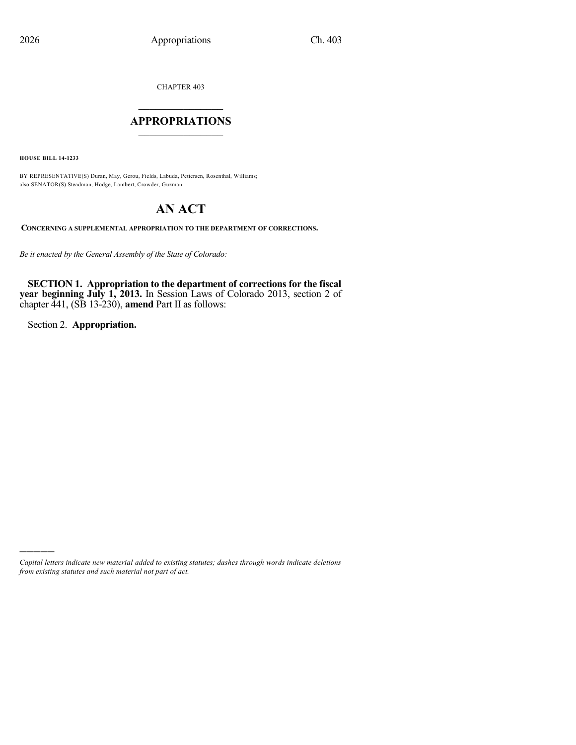CHAPTER 403

## $\mathcal{L}_\text{max}$  . The set of the set of the set of the set of the set of the set of the set of the set of the set of the set of the set of the set of the set of the set of the set of the set of the set of the set of the set **APPROPRIATIONS**  $\_$   $\_$   $\_$   $\_$   $\_$   $\_$   $\_$   $\_$

**HOUSE BILL 14-1233**

BY REPRESENTATIVE(S) Duran, May, Gerou, Fields, Labuda, Pettersen, Rosenthal, Williams; also SENATOR(S) Steadman, Hodge, Lambert, Crowder, Guzman.

# **AN ACT**

**CONCERNING A SUPPLEMENTAL APPROPRIATION TO THE DEPARTMENT OF CORRECTIONS.**

*Be it enacted by the General Assembly of the State of Colorado:*

**SECTION 1. Appropriation to the department of corrections for the fiscal year beginning July 1, 2013.** In Session Laws of Colorado 2013, section 2 of chapter 441, (SB 13-230), **amend** Part II as follows:

Section 2. **Appropriation.**

)))))

*Capital letters indicate new material added to existing statutes; dashes through words indicate deletions from existing statutes and such material not part of act.*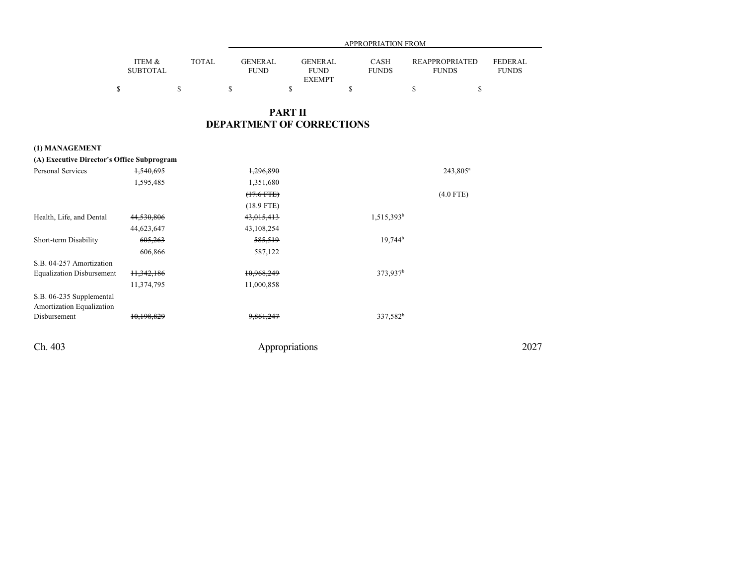|                 |        |             | APPROPRIATION FROM |              |                       |              |  |  |
|-----------------|--------|-------------|--------------------|--------------|-----------------------|--------------|--|--|
|                 |        |             |                    |              |                       |              |  |  |
| ITEM &          | TOTAL. | GENERAL     | GENERAL            | <b>CASH</b>  | <b>REAPPROPRIATED</b> | FEDERAL      |  |  |
| <b>SUBTOTAL</b> |        | <b>FUND</b> | <b>FUND</b>        | <b>FUNDS</b> | <b>FUNDS</b>          | <b>FUNDS</b> |  |  |
|                 |        |             | <b>EXEMPT</b>      |              |                       |              |  |  |
|                 |        |             |                    |              |                       |              |  |  |

## **PART II DEPARTMENT OF CORRECTIONS**

## **(1) MANAGEMENT**

| (A) Executive Director's Office Subprogram            |                       |                |                       |      |
|-------------------------------------------------------|-----------------------|----------------|-----------------------|------|
| Personal Services                                     | <del>1,540,695</del>  | 1,296,890      | 243,805 <sup>a</sup>  |      |
|                                                       | 1,595,485             | 1,351,680      |                       |      |
|                                                       |                       | $(17.6$ FTE)   | $(4.0$ FTE)           |      |
|                                                       |                       | $(18.9$ FTE)   |                       |      |
| Health, Life, and Dental                              | 44,530,806            | 43,015,413     | $1,515,393^b$         |      |
|                                                       | 44,623,647            | 43,108,254     |                       |      |
| Short-term Disability                                 | 605,263               | 585,519        | $19,744$ <sup>b</sup> |      |
|                                                       | 606,866               | 587,122        |                       |      |
| S.B. 04-257 Amortization                              |                       |                |                       |      |
| <b>Equalization Disbursement</b>                      | <del>11,342,186</del> | 10,968,249     | 373,937 <sup>b</sup>  |      |
|                                                       | 11,374,795            | 11,000,858     |                       |      |
| S.B. 06-235 Supplemental<br>Amortization Equalization |                       |                |                       |      |
| Disbursement                                          | 10.198.829            | 9,861,247      | 337,582 <sup>b</sup>  |      |
| Ch. 403                                               |                       | Appropriations |                       | 2027 |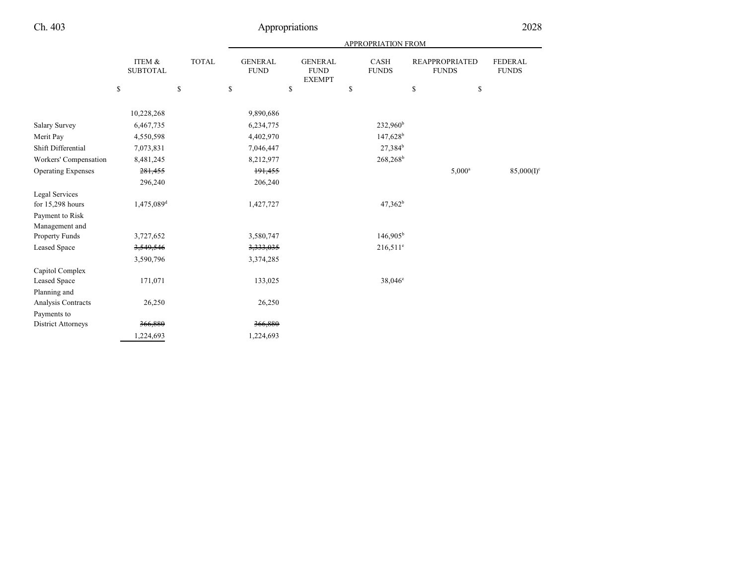|                           |                           |              |                                             |                                                | <b>APPROPRIATION FROM</b> |                                       |                                |
|---------------------------|---------------------------|--------------|---------------------------------------------|------------------------------------------------|---------------------------|---------------------------------------|--------------------------------|
|                           | ITEM &<br><b>SUBTOTAL</b> | <b>TOTAL</b> | <b>GENERAL</b><br><b>FUND</b>               | <b>GENERAL</b><br><b>FUND</b><br><b>EXEMPT</b> | CASH<br><b>FUNDS</b>      | <b>REAPPROPRIATED</b><br><b>FUNDS</b> | <b>FEDERAL</b><br><b>FUNDS</b> |
|                           | ${\mathbb S}$             | \$           | $\mathbb{S}% _{n}^{X\rightarrow\mathbb{R}}$ | \$                                             | \$                        | $\mathbb{S}$<br>\$                    |                                |
|                           |                           |              |                                             |                                                |                           |                                       |                                |
|                           | 10,228,268                |              | 9,890,686                                   |                                                |                           |                                       |                                |
| Salary Survey             | 6,467,735                 |              | 6,234,775                                   |                                                | 232,960 <sup>b</sup>      |                                       |                                |
| Merit Pay                 | 4,550,598                 |              | 4,402,970                                   |                                                | $147,628^b$               |                                       |                                |
| Shift Differential        | 7,073,831                 |              | 7,046,447                                   |                                                | 27,384 <sup>b</sup>       |                                       |                                |
| Workers' Compensation     | 8,481,245                 |              | 8,212,977                                   |                                                | 268,268 <sup>b</sup>      |                                       |                                |
| <b>Operating Expenses</b> | 281,455                   |              | 191,455                                     |                                                |                           | $5,000^a$                             | $85,000(I)^c$                  |
|                           | 296,240                   |              | 206,240                                     |                                                |                           |                                       |                                |
| Legal Services            |                           |              |                                             |                                                |                           |                                       |                                |
| for 15,298 hours          | 1,475,089 <sup>d</sup>    |              | 1,427,727                                   |                                                | $47,362^b$                |                                       |                                |
| Payment to Risk           |                           |              |                                             |                                                |                           |                                       |                                |
| Management and            |                           |              |                                             |                                                |                           |                                       |                                |
| Property Funds            | 3,727,652                 |              | 3,580,747                                   |                                                | $146,905^{\rm b}$         |                                       |                                |
| Leased Space              | 3,549,546                 |              | 3,333,035                                   |                                                | $216,511^e$               |                                       |                                |
|                           | 3,590,796                 |              | 3,374,285                                   |                                                |                           |                                       |                                |
| Capitol Complex           |                           |              |                                             |                                                |                           |                                       |                                |
| Leased Space              | 171,071                   |              | 133,025                                     |                                                | $38,046^{\circ}$          |                                       |                                |
| Planning and              |                           |              |                                             |                                                |                           |                                       |                                |
| Analysis Contracts        | 26,250                    |              | 26,250                                      |                                                |                           |                                       |                                |
| Payments to               |                           |              |                                             |                                                |                           |                                       |                                |
| District Attorneys        | 366,880                   |              | 366,880                                     |                                                |                           |                                       |                                |
|                           | 1,224,693                 |              | 1,224,693                                   |                                                |                           |                                       |                                |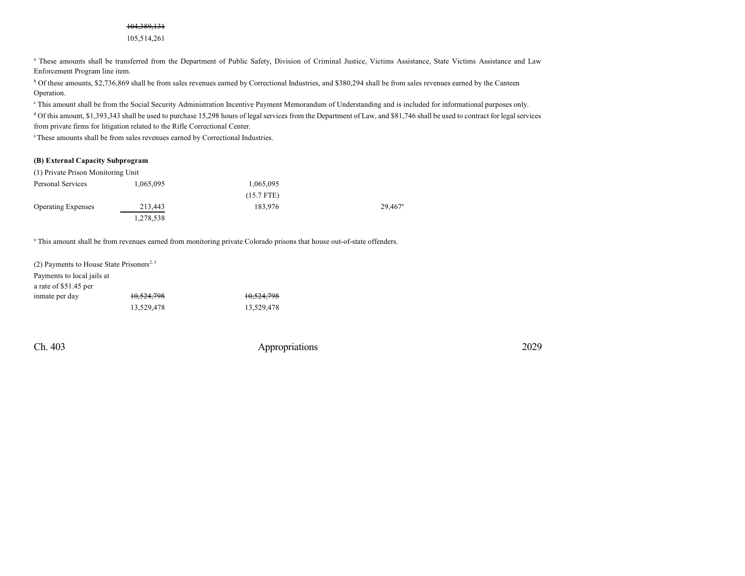## 104,389,131

105,514,261

<sup>a</sup> These amounts shall be transferred from the Department of Public Safety, Division of Criminal Justice, Victims Assistance, State Victims Assistance and Law Enforcement Program line item.

<sup>b</sup> Of these amounts, \$2,736,869 shall be from sales revenues earned by Correctional Industries, and \$380,294 shall be from sales revenues earned by the Canteen Operation.

c This amount shall be from the Social Security Administration Incentive Payment Memorandum of Understanding and is included for informational purposes only.

<sup>d</sup> Of this amount, \$1,393,343 shall be used to purchase 15,298 hours of legal services from the Department of Law, and \$81,746 shall be used to contract for legal services from private firms for litigation related to the Rifle Correctional Center.

<sup>e</sup>These amounts shall be from sales revenues earned by Correctional Industries.

#### **(B) External Capacity Subprogram**

| (1) Private Prison Monitoring Unit |           |              |                       |
|------------------------------------|-----------|--------------|-----------------------|
| Personal Services                  | 1,065,095 | 1,065,095    |                       |
|                                    |           | $(15.7$ FTE) |                       |
| <b>Operating Expenses</b>          | 213,443   | 183.976      | $29.467$ <sup>a</sup> |
|                                    | 1,278,538 |              |                       |

<sup>a</sup> This amount shall be from revenues earned from monitoring private Colorado prisons that house out-of-state offenders.

| (2) Payments to House State Prisoners <sup>2, 3</sup> |            |            |
|-------------------------------------------------------|------------|------------|
| Payments to local jails at                            |            |            |
| a rate of \$51.45 per                                 |            |            |
| inmate per day                                        | 10,524,798 | 10,524,798 |
|                                                       | 13.529.478 | 13.529.478 |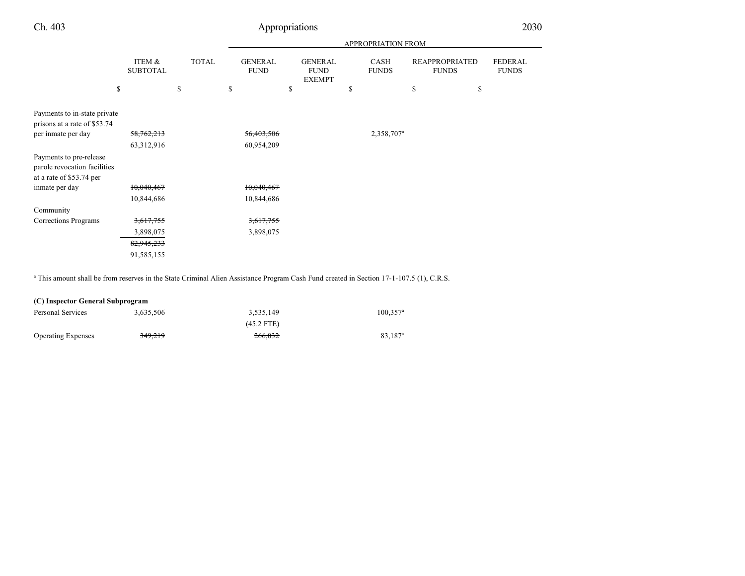|                                                                                     |                           |              |                               | <b>APPROPRIATION FROM</b>                      |                        |                                       |                                |  |  |  |
|-------------------------------------------------------------------------------------|---------------------------|--------------|-------------------------------|------------------------------------------------|------------------------|---------------------------------------|--------------------------------|--|--|--|
|                                                                                     | ITEM &<br><b>SUBTOTAL</b> | <b>TOTAL</b> | <b>GENERAL</b><br><b>FUND</b> | <b>GENERAL</b><br><b>FUND</b><br><b>EXEMPT</b> | CASH<br><b>FUNDS</b>   | <b>REAPPROPRIATED</b><br><b>FUNDS</b> | <b>FEDERAL</b><br><b>FUNDS</b> |  |  |  |
|                                                                                     | \$                        | \$           | S                             | \$                                             | S                      | \$                                    | \$                             |  |  |  |
|                                                                                     |                           |              |                               |                                                |                        |                                       |                                |  |  |  |
| Payments to in-state private                                                        |                           |              |                               |                                                |                        |                                       |                                |  |  |  |
| prisons at a rate of \$53.74                                                        |                           |              |                               |                                                |                        |                                       |                                |  |  |  |
| per inmate per day                                                                  | 58,762,213                |              | 56,403,506                    |                                                | 2,358,707 <sup>a</sup> |                                       |                                |  |  |  |
|                                                                                     | 63,312,916                |              | 60,954,209                    |                                                |                        |                                       |                                |  |  |  |
| Payments to pre-release<br>parole revocation facilities<br>at a rate of \$53.74 per |                           |              |                               |                                                |                        |                                       |                                |  |  |  |
| inmate per day                                                                      | 10,040,467                |              | 10,040,467                    |                                                |                        |                                       |                                |  |  |  |
|                                                                                     | 10,844,686                |              | 10,844,686                    |                                                |                        |                                       |                                |  |  |  |
| Community                                                                           |                           |              |                               |                                                |                        |                                       |                                |  |  |  |
| Corrections Programs                                                                | 3,617,755                 |              | 3,617,755                     |                                                |                        |                                       |                                |  |  |  |
|                                                                                     | 3,898,075                 |              | 3,898,075                     |                                                |                        |                                       |                                |  |  |  |
|                                                                                     | 82,945,233                |              |                               |                                                |                        |                                       |                                |  |  |  |
|                                                                                     | 91,585,155                |              |                               |                                                |                        |                                       |                                |  |  |  |

a This amount shall be from reserves in the State Criminal Alien Assistance Program Cash Fund created in Section 17-1-107.5 (1), C.R.S.

| (C) Inspector General Subprogram |           |              |                     |  |  |  |  |
|----------------------------------|-----------|--------------|---------------------|--|--|--|--|
| Personal Services                | 3.635.506 | 3.535.149    | $100.357^{\circ}$   |  |  |  |  |
|                                  |           | $(45.2$ FTE) |                     |  |  |  |  |
| <b>Operating Expenses</b>        | 349,219   | 266.032      | 83.187 <sup>a</sup> |  |  |  |  |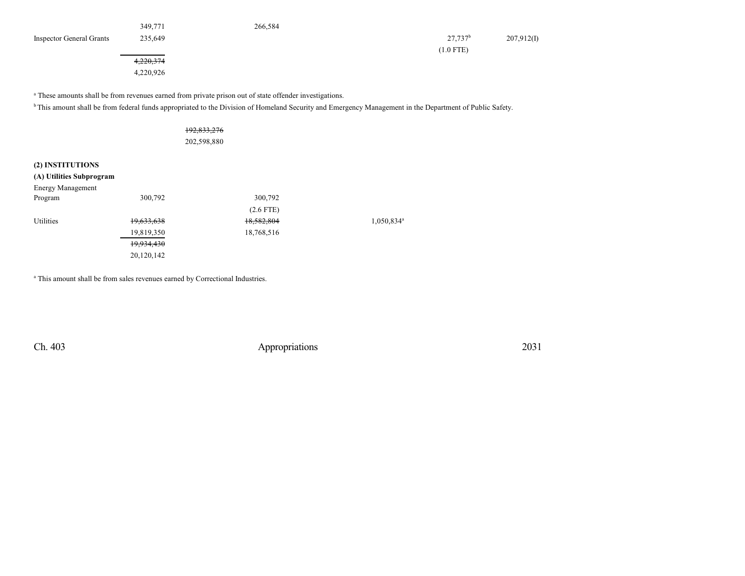|                                 | 349,771   | 266,584 |                     |            |
|---------------------------------|-----------|---------|---------------------|------------|
| <b>Inspector General Grants</b> | 235,649   |         | 27.737 <sup>b</sup> | 207,912(I) |
|                                 |           |         | $(1.0$ FTE)         |            |
|                                 | 4,220,374 |         |                     |            |
|                                 | 4,220,926 |         |                     |            |

<sup>a</sup> These amounts shall be from revenues earned from private prison out of state offender investigations.

<sup>b</sup>This amount shall be from federal funds appropriated to the Division of Homeland Security and Emergency Management in the Department of Public Safety.

|                          |            | 192,833,276<br>202,598,880 |             |                        |
|--------------------------|------------|----------------------------|-------------|------------------------|
| (2) INSTITUTIONS         |            |                            |             |                        |
| (A) Utilities Subprogram |            |                            |             |                        |
| <b>Energy Management</b> |            |                            |             |                        |
| Program                  | 300,792    |                            | 300,792     |                        |
|                          |            |                            | $(2.6$ FTE) |                        |
| <b>Utilities</b>         | 19,633,638 |                            | 18,582,804  | 1,050,834 <sup>a</sup> |
|                          | 19,819,350 |                            | 18,768,516  |                        |
|                          | 19,934,430 |                            |             |                        |
|                          | 20,120,142 |                            |             |                        |

<sup>a</sup> This amount shall be from sales revenues earned by Correctional Industries.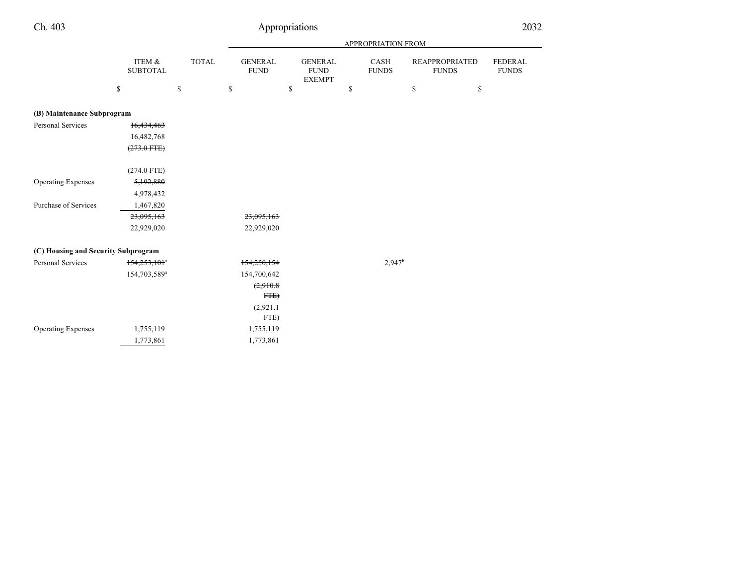| 40 Y |
|------|
|------|

# Appropriations 2032

|                                     |                            |              |              |                               |                                                |              | APPROPRIATION FROM   |                                       |                                |
|-------------------------------------|----------------------------|--------------|--------------|-------------------------------|------------------------------------------------|--------------|----------------------|---------------------------------------|--------------------------------|
|                                     | ITEM &<br><b>SUBTOTAL</b>  | <b>TOTAL</b> |              | <b>GENERAL</b><br><b>FUND</b> | <b>GENERAL</b><br><b>FUND</b><br><b>EXEMPT</b> |              | CASH<br><b>FUNDS</b> | <b>REAPPROPRIATED</b><br><b>FUNDS</b> | <b>FEDERAL</b><br><b>FUNDS</b> |
|                                     | \$                         | $\mathbb{S}$ | $\mathbb{S}$ |                               | \$                                             | $\mathbb{S}$ |                      | \$<br>$\mathbb{S}$                    |                                |
| (B) Maintenance Subprogram          |                            |              |              |                               |                                                |              |                      |                                       |                                |
| <b>Personal Services</b>            | <del>16,434,463</del>      |              |              |                               |                                                |              |                      |                                       |                                |
|                                     | 16,482,768                 |              |              |                               |                                                |              |                      |                                       |                                |
|                                     | $(273.0 \text{ FFE})$      |              |              |                               |                                                |              |                      |                                       |                                |
|                                     | $(274.0$ FTE)              |              |              |                               |                                                |              |                      |                                       |                                |
| <b>Operating Expenses</b>           | 5,192,880                  |              |              |                               |                                                |              |                      |                                       |                                |
|                                     | 4,978,432                  |              |              |                               |                                                |              |                      |                                       |                                |
| Purchase of Services                | 1,467,820                  |              |              |                               |                                                |              |                      |                                       |                                |
|                                     | 23,095,163                 |              |              | 23,095,163                    |                                                |              |                      |                                       |                                |
|                                     | 22,929,020                 |              |              | 22,929,020                    |                                                |              |                      |                                       |                                |
| (C) Housing and Security Subprogram |                            |              |              |                               |                                                |              |                      |                                       |                                |
| Personal Services                   | $154,253,101$ <sup>*</sup> |              |              | 154,250,154                   |                                                |              | 2,947 <sup>b</sup>   |                                       |                                |
|                                     | 154,703,589 <sup>a</sup>   |              |              | 154,700,642                   |                                                |              |                      |                                       |                                |
|                                     |                            |              |              | (2,910.8)                     |                                                |              |                      |                                       |                                |
|                                     |                            |              |              | FTE                           |                                                |              |                      |                                       |                                |
|                                     |                            |              |              | (2,921.1)                     |                                                |              |                      |                                       |                                |
|                                     |                            |              |              | FTE)                          |                                                |              |                      |                                       |                                |
| <b>Operating Expenses</b>           | 1,755,119                  |              |              | 1,755,119                     |                                                |              |                      |                                       |                                |
|                                     | 1,773,861                  |              |              | 1,773,861                     |                                                |              |                      |                                       |                                |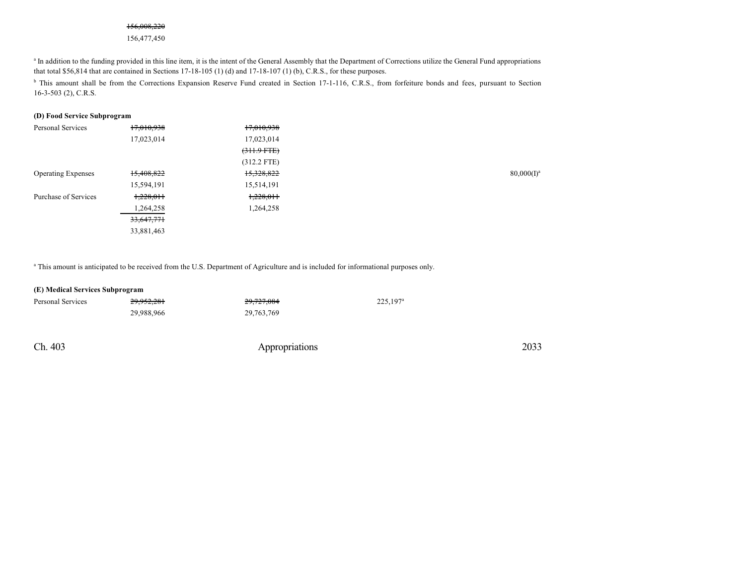#### 156,008,220

156,477,450

<sup>a</sup> In addition to the funding provided in this line item, it is the intent of the General Assembly that the Department of Corrections utilize the General Fund appropriations that total \$56,814 that are contained in Sections 17-18-105 (1) (d) and 17-18-107 (1) (b), C.R.S., for these purposes.

<sup>b</sup> This amount shall be from the Corrections Expansion Reserve Fund created in Section 17-1-116, C.R.S., from forfeiture bonds and fees, pursuant to Section 16-3-503 (2), C.R.S.

#### **(D) Food Service Subprogram**

| Personal Services         | 17,010,938 | 17,010,938    |               |
|---------------------------|------------|---------------|---------------|
|                           | 17,023,014 | 17,023,014    |               |
|                           |            | $(311.9$ FTE) |               |
|                           |            | $(312.2$ FTE) |               |
| <b>Operating Expenses</b> | 15,408,822 | 15,328,822    | $80,000(I)^a$ |
|                           | 15,594,191 | 15,514,191    |               |
| Purchase of Services      | 1,228,011  | 1,228,011     |               |
|                           | 1,264,258  | 1,264,258     |               |
|                           | 33,647,771 |               |               |
|                           | 33,881,463 |               |               |
|                           |            |               |               |

a This amount is anticipated to be received from the U.S. Department of Agriculture and is included for informational purposes only.

#### **(E) Medical Services Subprogram**

| Personal Services | 29,952,281 | 29,727,084 | $225.197^{\circ}$ |
|-------------------|------------|------------|-------------------|
|                   | 29.988.966 | 29,763,769 |                   |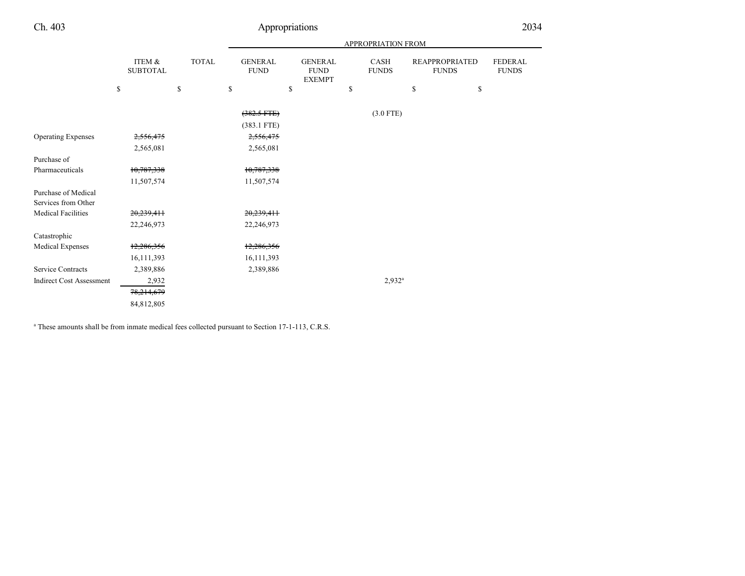# Ch. 403 Appropriations 2034

|                                 |                           |              |                               |                                                | APPROPRIATION FROM   |                                       |                                |
|---------------------------------|---------------------------|--------------|-------------------------------|------------------------------------------------|----------------------|---------------------------------------|--------------------------------|
|                                 | ITEM &<br><b>SUBTOTAL</b> | <b>TOTAL</b> | <b>GENERAL</b><br><b>FUND</b> | <b>GENERAL</b><br><b>FUND</b><br><b>EXEMPT</b> | CASH<br><b>FUNDS</b> | <b>REAPPROPRIATED</b><br><b>FUNDS</b> | <b>FEDERAL</b><br><b>FUNDS</b> |
|                                 | \$                        | \$           | \$                            | \$                                             | \$                   | \$<br>\$                              |                                |
|                                 |                           |              | $(382.5$ FTE)                 |                                                | $(3.0$ FTE)          |                                       |                                |
|                                 |                           |              | $(383.1$ FTE)                 |                                                |                      |                                       |                                |
| <b>Operating Expenses</b>       | 2,556,475                 |              | 2,556,475                     |                                                |                      |                                       |                                |
|                                 | 2,565,081                 |              | 2,565,081                     |                                                |                      |                                       |                                |
| Purchase of                     |                           |              |                               |                                                |                      |                                       |                                |
| Pharmaceuticals                 | 10,787,338                |              | 10,787,338                    |                                                |                      |                                       |                                |
|                                 | 11,507,574                |              | 11,507,574                    |                                                |                      |                                       |                                |
| Purchase of Medical             |                           |              |                               |                                                |                      |                                       |                                |
| Services from Other             |                           |              |                               |                                                |                      |                                       |                                |
| <b>Medical Facilities</b>       | 20,239,411                |              | 20,239,411                    |                                                |                      |                                       |                                |
|                                 | 22,246,973                |              | 22,246,973                    |                                                |                      |                                       |                                |
| Catastrophic                    |                           |              |                               |                                                |                      |                                       |                                |
| Medical Expenses                | 12,286,356                |              | 12,286,356                    |                                                |                      |                                       |                                |
|                                 | 16, 111, 393              |              | 16,111,393                    |                                                |                      |                                       |                                |
| <b>Service Contracts</b>        | 2,389,886                 |              | 2,389,886                     |                                                |                      |                                       |                                |
| <b>Indirect Cost Assessment</b> | 2,932                     |              |                               |                                                | $2,932^a$            |                                       |                                |
|                                 | 78,214,679                |              |                               |                                                |                      |                                       |                                |
|                                 | 84,812,805                |              |                               |                                                |                      |                                       |                                |

<sup>a</sup> These amounts shall be from inmate medical fees collected pursuant to Section 17-1-113, C.R.S.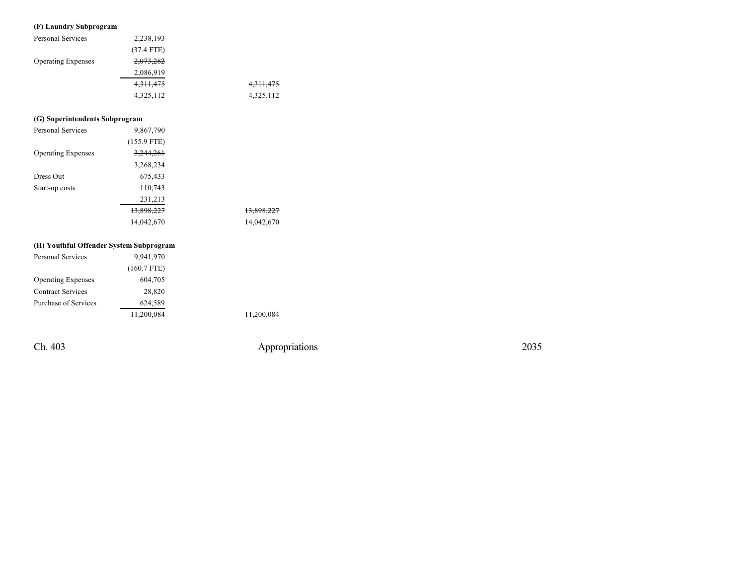#### **(F) L aundr y Subprog r a m**

| <b>Personal Services</b>  | 2,238,193    |             |
|---------------------------|--------------|-------------|
|                           | $(37.4$ FTE) |             |
| <b>Operating Expenses</b> | 2,073,282    |             |
|                           | 2,086,919    |             |
|                           | 4,311,475    | 4, 311, 475 |
|                           | 4,325,112    | 4,325,112   |

#### (G) Superintendents Subprogram

| Personal Services         | 9,867,790     |            |
|---------------------------|---------------|------------|
|                           | $(155.9$ FTE) |            |
| <b>Operating Expenses</b> | 3,244,261     |            |
|                           | 3,268,234     |            |
| Dress Out                 | 675,433       |            |
| Start-up costs            | $+10,743$     |            |
|                           | 231,213       |            |
|                           | 13,898,227    | 13,898,227 |
|                           | 14,042,670    | 14,042,670 |
|                           |               |            |

#### (H) Youthful Offender System Subprogram

| <b>Personal Services</b>  | 9,941,970     |
|---------------------------|---------------|
|                           | $(160.7$ FTE) |
| <b>Operating Expenses</b> | 604,705       |
| <b>Contract Services</b>  | 28,820        |
| Purchase of Services      | 624,589       |
|                           | 11,200,084    |

1 1,2 0 0,0 8 4

Ch. 403

Appropriations

2 0 3 5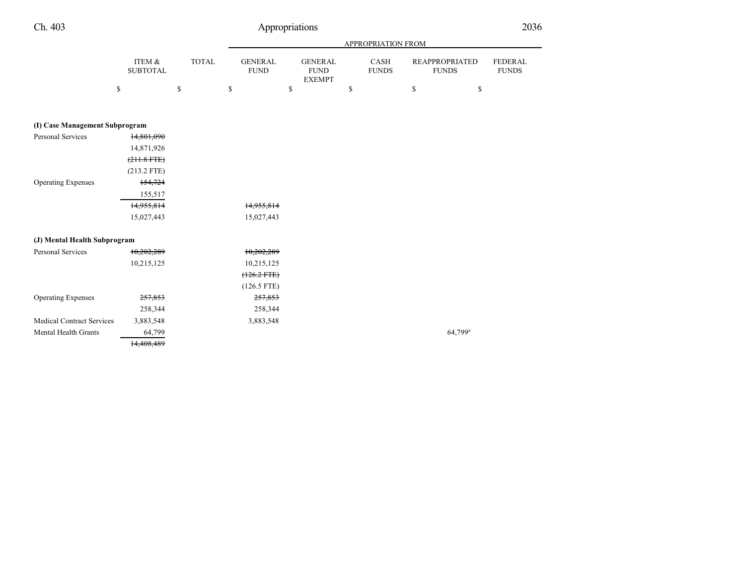|                                  |                           |                                             |                               |                                                |              | <b>APPROPRIATION FROM</b> |               |                                       |                                |
|----------------------------------|---------------------------|---------------------------------------------|-------------------------------|------------------------------------------------|--------------|---------------------------|---------------|---------------------------------------|--------------------------------|
|                                  | ITEM &<br><b>SUBTOTAL</b> | <b>TOTAL</b>                                | <b>GENERAL</b><br><b>FUND</b> | <b>GENERAL</b><br><b>FUND</b><br><b>EXEMPT</b> |              | CASH<br><b>FUNDS</b>      |               | <b>REAPPROPRIATED</b><br><b>FUNDS</b> | <b>FEDERAL</b><br><b>FUNDS</b> |
|                                  | \$                        | $\mathbb{S}% _{n}^{X\rightarrow\mathbb{R}}$ | \$                            | \$                                             | $\mathbb{S}$ |                           | $\mathsf{\$}$ | $\mathbb{S}$                          |                                |
| (I) Case Management Subprogram   |                           |                                             |                               |                                                |              |                           |               |                                       |                                |
| <b>Personal Services</b>         | 14,801,090                |                                             |                               |                                                |              |                           |               |                                       |                                |
|                                  | 14,871,926                |                                             |                               |                                                |              |                           |               |                                       |                                |
|                                  | $(211.8$ FTE)             |                                             |                               |                                                |              |                           |               |                                       |                                |
|                                  | $(213.2$ FTE)             |                                             |                               |                                                |              |                           |               |                                       |                                |
| <b>Operating Expenses</b>        | 154,724                   |                                             |                               |                                                |              |                           |               |                                       |                                |
|                                  | 155,517                   |                                             |                               |                                                |              |                           |               |                                       |                                |
|                                  | 14,955,814                |                                             | 14,955,814                    |                                                |              |                           |               |                                       |                                |
|                                  | 15,027,443                |                                             | 15,027,443                    |                                                |              |                           |               |                                       |                                |
| (J) Mental Health Subprogram     |                           |                                             |                               |                                                |              |                           |               |                                       |                                |
| <b>Personal Services</b>         | 10,202,289                |                                             | 10,202,289                    |                                                |              |                           |               |                                       |                                |
|                                  | 10,215,125                |                                             | 10,215,125                    |                                                |              |                           |               |                                       |                                |
|                                  |                           |                                             | $(126.2$ FTE $)$              |                                                |              |                           |               |                                       |                                |
|                                  |                           |                                             | $(126.5$ FTE)                 |                                                |              |                           |               |                                       |                                |
| <b>Operating Expenses</b>        | 257,853                   |                                             | 257,853                       |                                                |              |                           |               |                                       |                                |
|                                  | 258,344                   |                                             | 258,344                       |                                                |              |                           |               |                                       |                                |
| <b>Medical Contract Services</b> | 3,883,548                 |                                             | 3,883,548                     |                                                |              |                           |               |                                       |                                |
| Mental Health Grants             | 64,799                    |                                             |                               |                                                |              |                           |               | 64,799 <sup>a</sup>                   |                                |
|                                  | 14,408,489                |                                             |                               |                                                |              |                           |               |                                       |                                |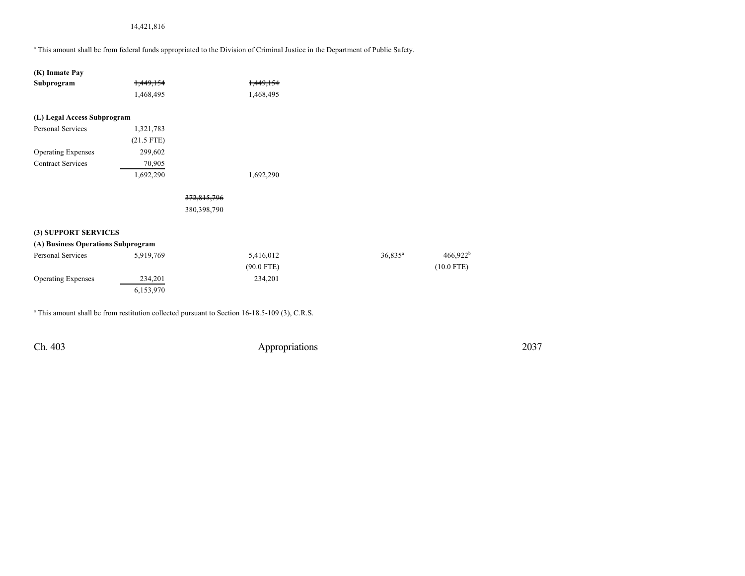## 14,421,816

a This amount shall be from federal funds appropriated to the Division of Criminal Justice in the Department of Public Safety.

| (K) Inmate Pay                     |              |             |              |            |
|------------------------------------|--------------|-------------|--------------|------------|
| Subprogram                         | 1,449,154    |             | 1,449,154    |            |
|                                    | 1,468,495    |             | 1,468,495    |            |
| (L) Legal Access Subprogram        |              |             |              |            |
| <b>Personal Services</b>           | 1,321,783    |             |              |            |
|                                    | $(21.5$ FTE) |             |              |            |
| <b>Operating Expenses</b>          | 299,602      |             |              |            |
| <b>Contract Services</b>           | 70,905       |             |              |            |
|                                    | 1,692,290    |             | 1,692,290    |            |
|                                    |              |             |              |            |
|                                    |              | 372,815,796 |              |            |
|                                    |              | 380,398,790 |              |            |
|                                    |              |             |              |            |
| (3) SUPPORT SERVICES               |              |             |              |            |
| (A) Business Operations Subprogram |              |             |              |            |
| Personal Services                  | 5,919,769    |             | 5,416,012    | $36,835^a$ |
|                                    |              |             | $(90.0$ FTE) |            |
| <b>Operating Expenses</b>          | 234,201      |             | 234,201      |            |
|                                    | 6,153,970    |             |              |            |
|                                    |              |             |              |            |

<sup>a</sup> This amount shall be from restitution collected pursuant to Section 16-18.5-109 (3), C.R.S.

Ch. 403 Appropriations 2037

466,922 b  $(10.0 \text{ FTE})$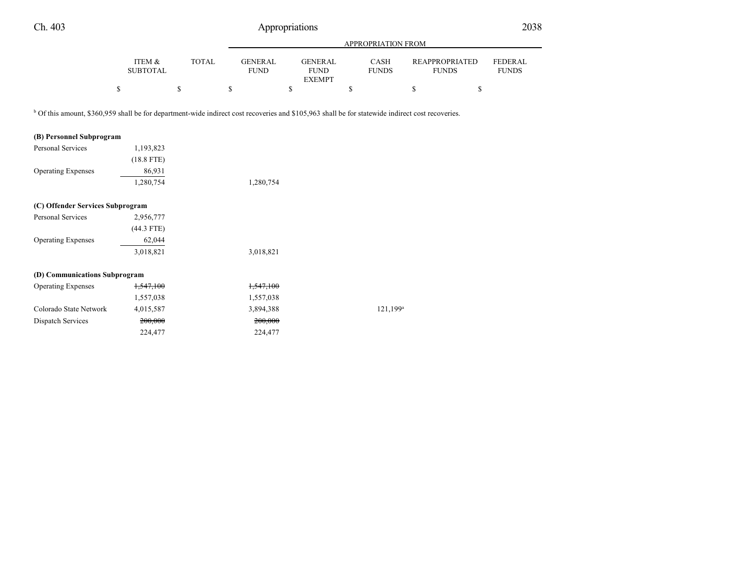|                           |                                                                   | APPROPRIATION FROM            |    |                                                |    |                      |              |                      |                                                                                                                                                                                                      |
|---------------------------|-------------------------------------------------------------------|-------------------------------|----|------------------------------------------------|----|----------------------|--------------|----------------------|------------------------------------------------------------------------------------------------------------------------------------------------------------------------------------------------------|
| ITEM &<br><b>SUBTOTAL</b> | <b>TOTAL</b>                                                      | <b>GENERAL</b><br><b>FUND</b> |    | <b>GENERAL</b><br><b>FUND</b><br><b>EXEMPT</b> |    | CASH<br><b>FUNDS</b> |              |                      | <b>FEDERAL</b><br><b>FUNDS</b>                                                                                                                                                                       |
|                           | \$                                                                | \$                            | \$ |                                                | \$ |                      | $\mathbb{S}$ | \$                   |                                                                                                                                                                                                      |
|                           |                                                                   |                               |    |                                                |    |                      |              |                      |                                                                                                                                                                                                      |
|                           |                                                                   |                               |    |                                                |    |                      |              |                      |                                                                                                                                                                                                      |
| 1,193,823                 |                                                                   |                               |    |                                                |    |                      |              |                      |                                                                                                                                                                                                      |
| $(18.8$ FTE)              |                                                                   |                               |    |                                                |    |                      |              |                      |                                                                                                                                                                                                      |
| 86,931                    |                                                                   |                               |    |                                                |    |                      |              |                      |                                                                                                                                                                                                      |
| 1,280,754                 |                                                                   | 1,280,754                     |    |                                                |    |                      |              |                      |                                                                                                                                                                                                      |
|                           |                                                                   |                               |    |                                                |    |                      |              |                      |                                                                                                                                                                                                      |
| 2,956,777                 |                                                                   |                               |    |                                                |    |                      |              |                      |                                                                                                                                                                                                      |
| $(44.3$ FTE)              |                                                                   |                               |    |                                                |    |                      |              |                      |                                                                                                                                                                                                      |
| 62,044                    |                                                                   |                               |    |                                                |    |                      |              |                      |                                                                                                                                                                                                      |
| 3,018,821                 |                                                                   | 3,018,821                     |    |                                                |    |                      |              |                      |                                                                                                                                                                                                      |
|                           |                                                                   |                               |    |                                                |    |                      |              |                      |                                                                                                                                                                                                      |
| 1,547,100                 |                                                                   | 1,547,100                     |    |                                                |    |                      |              |                      |                                                                                                                                                                                                      |
| 1,557,038                 |                                                                   | 1,557,038                     |    |                                                |    |                      |              |                      |                                                                                                                                                                                                      |
| 4,015,587                 |                                                                   | 3,894,388                     |    |                                                |    |                      |              |                      |                                                                                                                                                                                                      |
| 200,000                   |                                                                   | 200,000                       |    |                                                |    |                      |              |                      |                                                                                                                                                                                                      |
| 224,477                   |                                                                   | 224,477                       |    |                                                |    |                      |              |                      |                                                                                                                                                                                                      |
|                           | (C) Offender Services Subprogram<br>(D) Communications Subprogram |                               |    |                                                |    |                      |              | 121,199 <sup>a</sup> | <b>REAPPROPRIATED</b><br><b>FUNDS</b><br><sup>b</sup> Of this amount, \$360,959 shall be for department-wide indirect cost recoveries and \$105,963 shall be for statewide indirect cost recoveries. |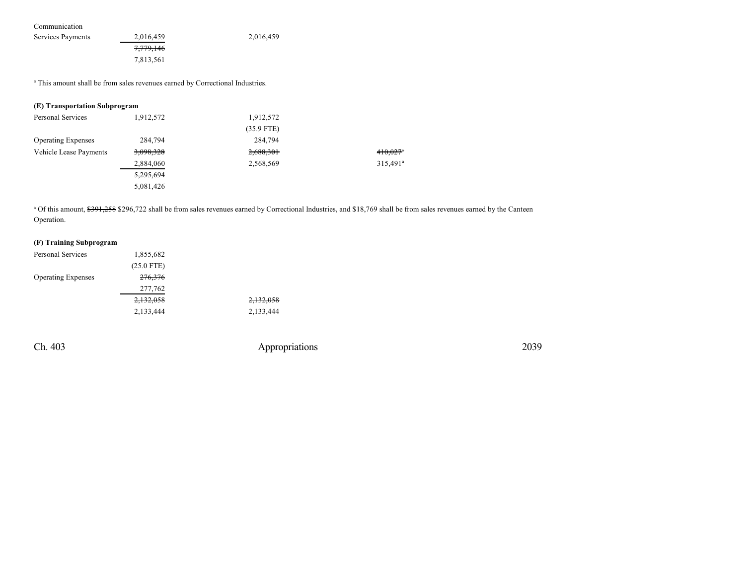Communication

| Services Payments | 2,016,459 | 2,016,459 |
|-------------------|-----------|-----------|
|                   | 7,779,146 |           |
|                   | 7.813.561 |           |

<sup>a</sup> This amount shall be from sales revenues earned by Correctional Industries.

### **(E) Transportation Subprogram**

| Personal Services         | 1,912,572 | 1,912,572    |                        |
|---------------------------|-----------|--------------|------------------------|
|                           |           | $(35.9$ FTE) |                        |
| <b>Operating Expenses</b> | 284.794   | 284,794      |                        |
| Vehicle Lease Payments    | 3,098,328 | 2,688,301    | $410,027$ <sup>a</sup> |
|                           | 2,884,060 | 2,568,569    | $315,491^a$            |
|                           | 5,295,694 |              |                        |
|                           | 5,081,426 |              |                        |

<sup>a</sup> Of this amount, \$391,258 \$296,722 shall be from sales revenues earned by Correctional Industries, and \$18,769 shall be from sales revenues earned by the Canteen Operation.

## **(F) Training Subprogram**

| Personal Services         | 1,855,682          |           |
|---------------------------|--------------------|-----------|
|                           | $(25.0$ FTE)       |           |
| <b>Operating Expenses</b> | <del>276,376</del> |           |
|                           | 277,762            |           |
|                           | 2,132,058          | 2,132,058 |
|                           | 2,133,444          | 2,133,444 |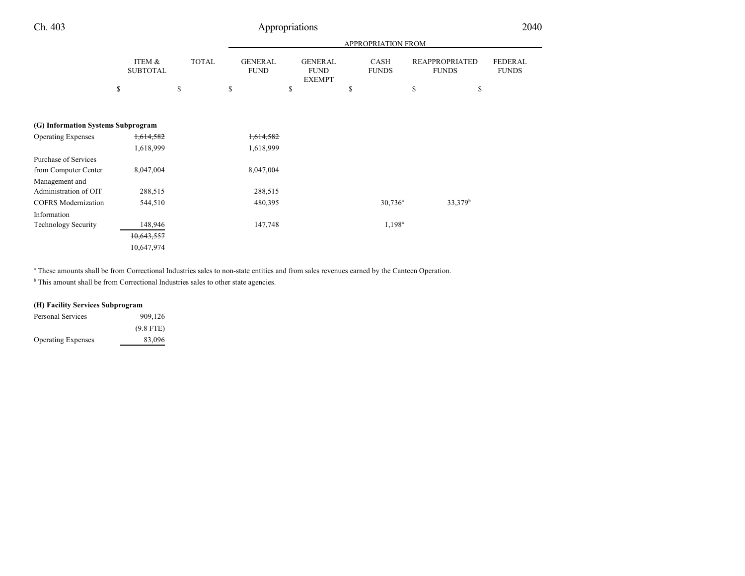|                                    |                           |              |                               |                                                | APPROPRIATION FROM   |                                       |                                |
|------------------------------------|---------------------------|--------------|-------------------------------|------------------------------------------------|----------------------|---------------------------------------|--------------------------------|
|                                    | ITEM &<br><b>SUBTOTAL</b> | <b>TOTAL</b> | <b>GENERAL</b><br><b>FUND</b> | <b>GENERAL</b><br><b>FUND</b><br><b>EXEMPT</b> | CASH<br><b>FUNDS</b> | <b>REAPPROPRIATED</b><br><b>FUNDS</b> | <b>FEDERAL</b><br><b>FUNDS</b> |
|                                    | \$                        | \$           | \$                            | \$                                             | \$                   | \$<br>\$                              |                                |
|                                    |                           |              |                               |                                                |                      |                                       |                                |
|                                    |                           |              |                               |                                                |                      |                                       |                                |
| (G) Information Systems Subprogram |                           |              |                               |                                                |                      |                                       |                                |
| <b>Operating Expenses</b>          | 1,614,582                 |              | 1,614,582                     |                                                |                      |                                       |                                |
|                                    | 1,618,999                 |              | 1,618,999                     |                                                |                      |                                       |                                |
| Purchase of Services               |                           |              |                               |                                                |                      |                                       |                                |
| from Computer Center               | 8,047,004                 |              | 8,047,004                     |                                                |                      |                                       |                                |
| Management and                     |                           |              |                               |                                                |                      |                                       |                                |
| Administration of OIT              | 288,515                   |              | 288,515                       |                                                |                      |                                       |                                |
| <b>COFRS</b> Modernization         | 544,510                   |              | 480,395                       |                                                | $30,736^a$           | $33,379^b$                            |                                |
| Information                        |                           |              |                               |                                                |                      |                                       |                                |
| <b>Technology Security</b>         | 148,946                   |              | 147,748                       |                                                | $1,198^a$            |                                       |                                |
|                                    | 10,643,557                |              |                               |                                                |                      |                                       |                                |
|                                    | 10,647,974                |              |                               |                                                |                      |                                       |                                |

<sup>a</sup> These amounts shall be from Correctional Industries sales to non-state entities and from sales revenues earned by the Canteen Operation.

<sup>b</sup> This amount shall be from Correctional Industries sales to other state agencies.

## **(H) Facility Services Subprogram**

| Personal Services         | 909,126     |
|---------------------------|-------------|
|                           | $(9.8$ FTE) |
| <b>Operating Expenses</b> | 83,096      |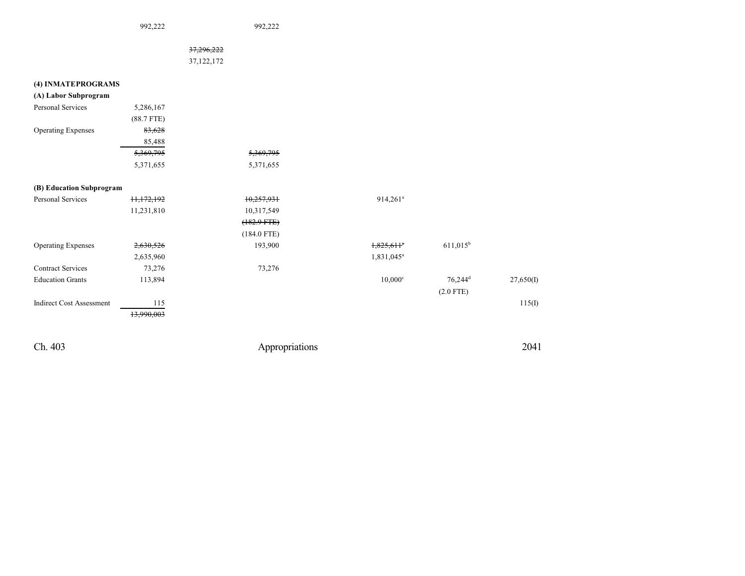992,222 992,222

37,296,222 37,122,172

| (4) INMATEPROGRAMS              |              |               |                          |                       |           |
|---------------------------------|--------------|---------------|--------------------------|-----------------------|-----------|
| (A) Labor Subprogram            |              |               |                          |                       |           |
| Personal Services               | 5,286,167    |               |                          |                       |           |
|                                 | $(88.7$ FTE) |               |                          |                       |           |
| <b>Operating Expenses</b>       | 83,628       |               |                          |                       |           |
|                                 | 85,488       |               |                          |                       |           |
|                                 | 5,369,795    | 5,369,795     |                          |                       |           |
|                                 | 5,371,655    | 5,371,655     |                          |                       |           |
| (B) Education Subprogram        |              |               |                          |                       |           |
| <b>Personal Services</b>        | 11,172,192   | 10,257,931    | $914,261$ <sup>a</sup>   |                       |           |
|                                 | 11,231,810   | 10,317,549    |                          |                       |           |
|                                 |              | $(182.9 FTE)$ |                          |                       |           |
|                                 |              | $(184.0$ FTE) |                          |                       |           |
| <b>Operating Expenses</b>       | 2,630,526    | 193,900       | $1,825,611$ <sup>a</sup> | $611,015^b$           |           |
|                                 | 2,635,960    |               | 1,831,045 <sup>a</sup>   |                       |           |
| <b>Contract Services</b>        | 73,276       | 73,276        |                          |                       |           |
| <b>Education Grants</b>         | 113,894      |               | $10,000$ <sup>c</sup>    | $76,244$ <sup>d</sup> | 27,650(I) |
|                                 |              |               |                          | $(2.0$ FTE)           |           |
| <b>Indirect Cost Assessment</b> | 115          |               |                          |                       | 115(I)    |
|                                 | 13,990,003   |               |                          |                       |           |
|                                 |              |               |                          |                       |           |
|                                 |              |               |                          |                       |           |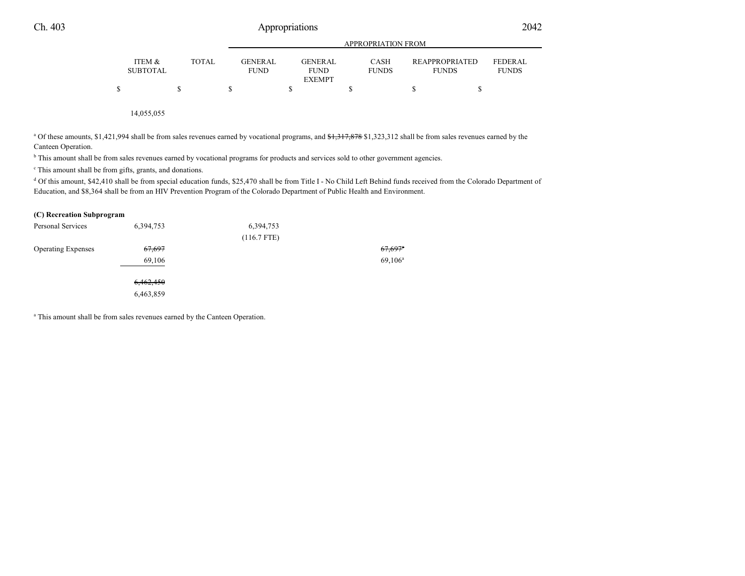|   |                           |       | APPROPRIATION FROM       |  |                        |  |                             |                                       |                                |
|---|---------------------------|-------|--------------------------|--|------------------------|--|-----------------------------|---------------------------------------|--------------------------------|
|   | ITEM &<br><b>SUBTOTAL</b> | TOTAL | GENER AL.<br><b>FUND</b> |  | GENERAL<br><b>FUND</b> |  | <b>CASH</b><br><b>FUNDS</b> | <b>REAPPROPRIATED</b><br><b>FUNDS</b> | <b>FEDERAL</b><br><b>FUNDS</b> |
|   |                           |       |                          |  | <b>EXEMPT</b>          |  |                             |                                       |                                |
| Φ |                           |       |                          |  |                        |  |                             |                                       |                                |

14,055,055

<sup>a</sup> Of these amounts, \$1,421,994 shall be from sales revenues earned by vocational programs, and \$1,317,878 \$1,323,312 shall be from sales revenues earned by the Canteen Operation.

<sup>b</sup> This amount shall be from sales revenues earned by vocational programs for products and services sold to other government agencies.

c This amount shall be from gifts, grants, and donations.

<sup>d</sup> Of this amount, \$42,410 shall be from special education funds, \$25,470 shall be from Title I - No Child Left Behind funds received from the Colorado Department of Education, and \$8,364 shall be from an HIV Prevention Program of the Colorado Department of Public Health and Environment.

#### **(C) Recreation Subprogram**

| <b>Personal Services</b>  | 6,394,753 | 6,394,753     |                       |
|---------------------------|-----------|---------------|-----------------------|
|                           |           | $(116.7$ FTE) |                       |
| <b>Operating Expenses</b> | 67,697    |               | $67,697$ <sup>a</sup> |
|                           | 69,106    |               | $69,106^{\rm a}$      |
|                           | 6,462,450 |               |                       |
|                           | 6,463,859 |               |                       |

<sup>a</sup> This amount shall be from sales revenues earned by the Canteen Operation.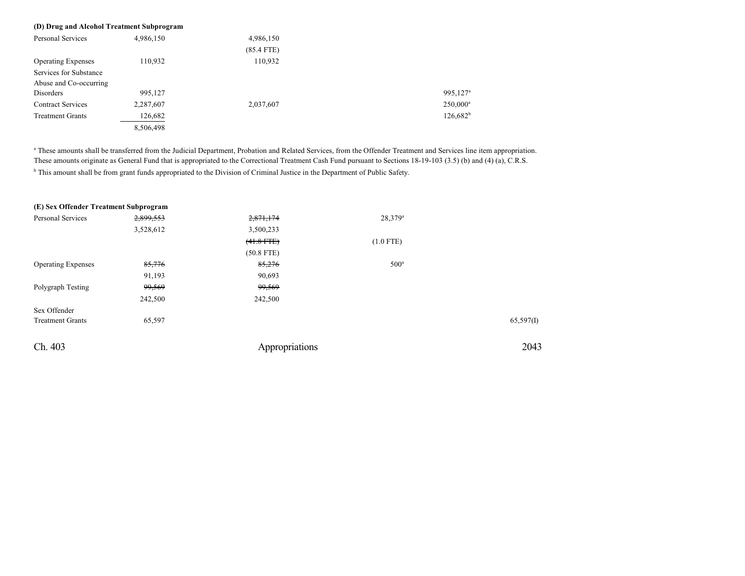| (D) Drug and Alcohol Treatment Subprogram |           |              |                      |
|-------------------------------------------|-----------|--------------|----------------------|
| <b>Personal Services</b>                  | 4,986,150 | 4,986,150    |                      |
|                                           |           | $(85.4$ FTE) |                      |
| <b>Operating Expenses</b>                 | 110,932   | 110,932      |                      |
| Services for Substance                    |           |              |                      |
| Abuse and Co-occurring                    |           |              |                      |
| Disorders                                 | 995,127   |              | 995,127 <sup>a</sup> |
| <b>Contract Services</b>                  | 2,287,607 | 2,037,607    | $250,000^a$          |
| <b>Treatment Grants</b>                   | 126,682   |              | $126,682^b$          |
|                                           | 8,506,498 |              |                      |

a These amounts shall be transferred from the Judicial Department, Probation and Related Services, from the Offender Treatment and Services line item appropriation. These amounts originate as General Fund that is appropriated to the Correctional Treatment Cash Fund pursuant to Sections 18-19-103 (3.5) (b) and (4) (a), C.R.S. <sup>b</sup> This amount shall be from grant funds appropriated to the Division of Criminal Justice in the Department of Public Safety.

| (E) Sex Offender Treatment Subprogram |           |                |                     |           |
|---------------------------------------|-----------|----------------|---------------------|-----------|
| Personal Services                     | 2,899,553 | 2,871,174      | 28,379 <sup>a</sup> |           |
|                                       | 3,528,612 | 3,500,233      |                     |           |
|                                       |           | $(41.8$ FTE)   | $(1.0$ FTE)         |           |
|                                       |           | $(50.8$ FTE)   |                     |           |
| <b>Operating Expenses</b>             | 85,776    | 85,276         | $500^{\circ}$       |           |
|                                       | 91,193    | 90.693         |                     |           |
| Polygraph Testing                     | 99,569    | 99,569         |                     |           |
|                                       | 242,500   | 242,500        |                     |           |
| Sex Offender                          |           |                |                     |           |
| <b>Treatment Grants</b>               | 65,597    |                |                     | 65,597(I) |
| Ch. 403                               |           | Appropriations |                     | 2043      |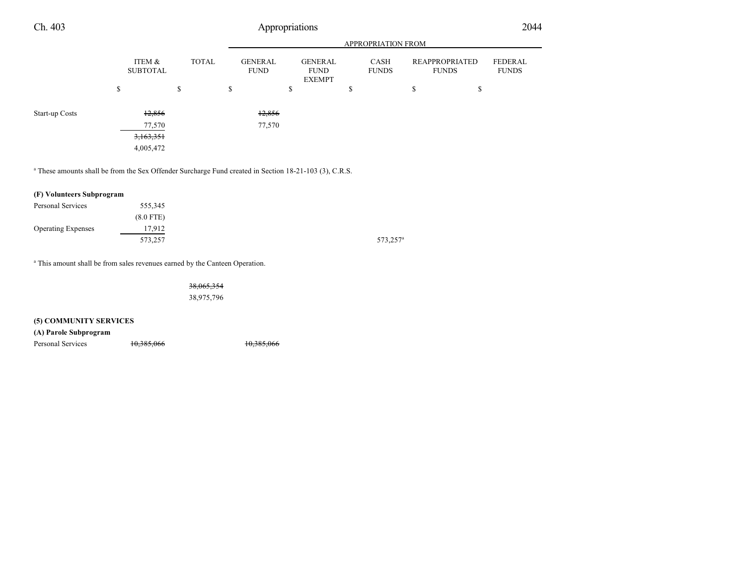| Ch. 403        |                                  |              | Appropriations                |                                                |                             |                                       | 2044                    |
|----------------|----------------------------------|--------------|-------------------------------|------------------------------------------------|-----------------------------|---------------------------------------|-------------------------|
|                |                                  |              |                               |                                                | APPROPRIATION FROM          |                                       |                         |
|                | ITEM &<br><b>SUBTOTAL</b>        | <b>TOTAL</b> | <b>GENERAL</b><br><b>FUND</b> | <b>GENERAL</b><br><b>FUND</b><br><b>EXEMPT</b> | <b>CASH</b><br><b>FUNDS</b> | <b>REAPPROPRIATED</b><br><b>FUNDS</b> | FEDERAL<br><b>FUNDS</b> |
|                | \$<br>\$                         |              | \$                            | \$                                             | \$                          | \$<br>\$                              |                         |
| Start-up Costs | 12,856                           |              | 12,856                        |                                                |                             |                                       |                         |
|                | 77,570<br>3,163,351<br>4,005,472 |              | 77,570                        |                                                |                             |                                       |                         |

a These amounts shall be from the Sex Offender Surcharge Fund created in Section 18-21-103 (3), C.R.S.

## **(F) Volunteers Subprogram**

| Personal Services         | 555,345     |                      |
|---------------------------|-------------|----------------------|
|                           | $(8.0$ FTE) |                      |
| <b>Operating Expenses</b> | 17.912      |                      |
|                           | 573,257     | 573,257 <sup>a</sup> |

<sup>a</sup> This amount shall be from sales revenues earned by the Canteen Operation.

38,065,354 38,975,796

## **(5) COMMUNITY SERVICES**

**(A) Parole Subprogram**

Personal Services 10,385,066 10,385,066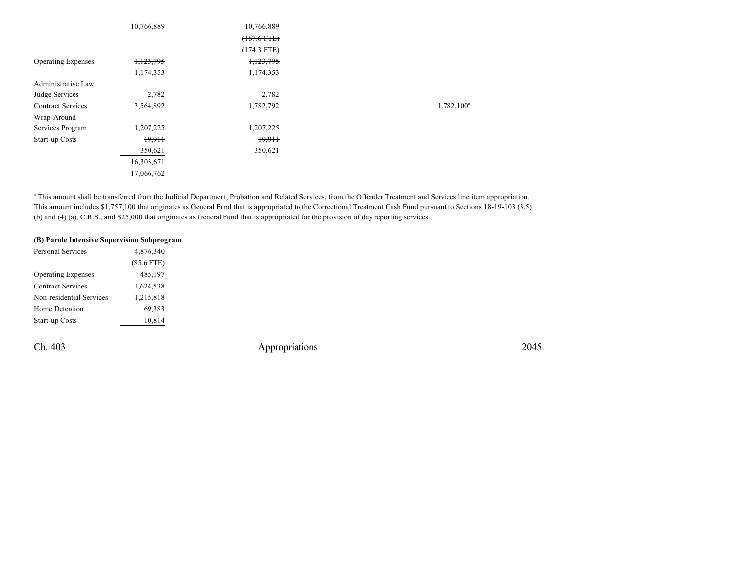|                           | 10,766,889 | 10,766,889<br>$(167.6$ FTE) |               |
|---------------------------|------------|-----------------------------|---------------|
| <b>Operating Expenses</b> | 1,123,795  | $(174.3$ FTE)<br>1,123,795  |               |
|                           | 1,174,353  | 1,174,353                   |               |
| Administrative Law        |            |                             |               |
| Judge Services            | 2,782      | 2,782                       |               |
| <b>Contract Services</b>  | 3,564,892  | 1,782,792                   | $1,782,100^a$ |
| Wrap-Around               |            |                             |               |
| Services Program          | 1,207,225  | 1,207,225                   |               |
| Start-up Costs            | 19,911     | 19,911                      |               |
|                           | 350,621    | 350,621                     |               |
|                           | 16,303,671 |                             |               |
|                           | 17,066,762 |                             |               |

<sup>a</sup> This amount shall be transferred from the Judicial Department, Probation and Related Services, from the Offender Treatment and Services line item appropriation. This amount includes \$1,757,100 that originates as General Fund that is appropriated to the Correctional Treatment Cash Fund pursuant to Sections 18-19-103 (3.5) (b) and (4) (a), C.R.S., and \$25,000 that originates as General Fund that is appropriated for the provision of day reporting services.

| (B) Parole Intensive Supervision Subprogram |              |
|---------------------------------------------|--------------|
| <b>Personal Services</b>                    | 4,876,340    |
|                                             | $(85.6$ FTE) |
| <b>Operating Expenses</b>                   | 485,197      |
| <b>Contract Services</b>                    | 1,624,538    |
| Non-residential Services                    | 1,215,818    |
| Home Detention                              | 69,383       |
| <b>Start-up Costs</b>                       | 10,814       |
|                                             |              |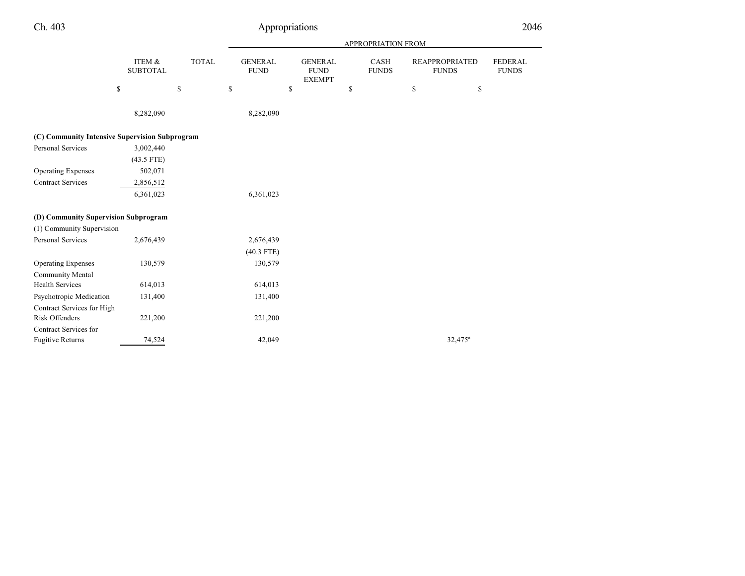|                                                |                              |              |                               |                                                | <b>APPROPRIATION FROM</b> |                                       |                                |
|------------------------------------------------|------------------------------|--------------|-------------------------------|------------------------------------------------|---------------------------|---------------------------------------|--------------------------------|
|                                                | ITEM $\&$<br><b>SUBTOTAL</b> | <b>TOTAL</b> | <b>GENERAL</b><br><b>FUND</b> | <b>GENERAL</b><br><b>FUND</b><br><b>EXEMPT</b> | CASH<br><b>FUNDS</b>      | <b>REAPPROPRIATED</b><br><b>FUNDS</b> | <b>FEDERAL</b><br><b>FUNDS</b> |
|                                                | \$                           | \$           | $\mathbb{S}$                  | \$                                             | $\mathbb{S}$              | \$<br>\$                              |                                |
|                                                | 8,282,090                    |              | 8,282,090                     |                                                |                           |                                       |                                |
| (C) Community Intensive Supervision Subprogram |                              |              |                               |                                                |                           |                                       |                                |
| Personal Services                              | 3,002,440                    |              |                               |                                                |                           |                                       |                                |
|                                                | $(43.5$ FTE)                 |              |                               |                                                |                           |                                       |                                |
| <b>Operating Expenses</b>                      | 502,071                      |              |                               |                                                |                           |                                       |                                |
| <b>Contract Services</b>                       | 2,856,512                    |              |                               |                                                |                           |                                       |                                |
|                                                | 6,361,023                    |              | 6,361,023                     |                                                |                           |                                       |                                |
| (D) Community Supervision Subprogram           |                              |              |                               |                                                |                           |                                       |                                |
| (1) Community Supervision                      |                              |              |                               |                                                |                           |                                       |                                |
| Personal Services                              | 2,676,439                    |              | 2,676,439                     |                                                |                           |                                       |                                |
|                                                |                              |              | $(40.3$ FTE)                  |                                                |                           |                                       |                                |
| <b>Operating Expenses</b>                      | 130,579                      |              | 130,579                       |                                                |                           |                                       |                                |
| <b>Community Mental</b>                        |                              |              |                               |                                                |                           |                                       |                                |
| <b>Health Services</b>                         | 614,013                      |              | 614,013                       |                                                |                           |                                       |                                |
| Psychotropic Medication                        | 131,400                      |              | 131,400                       |                                                |                           |                                       |                                |
| Contract Services for High                     |                              |              |                               |                                                |                           |                                       |                                |
| Risk Offenders                                 | 221,200                      |              | 221,200                       |                                                |                           |                                       |                                |
| Contract Services for                          |                              |              |                               |                                                |                           |                                       |                                |
| <b>Fugitive Returns</b>                        | 74,524                       |              | 42,049                        |                                                |                           | $32,475^{\circ}$                      |                                |
|                                                |                              |              |                               |                                                |                           |                                       |                                |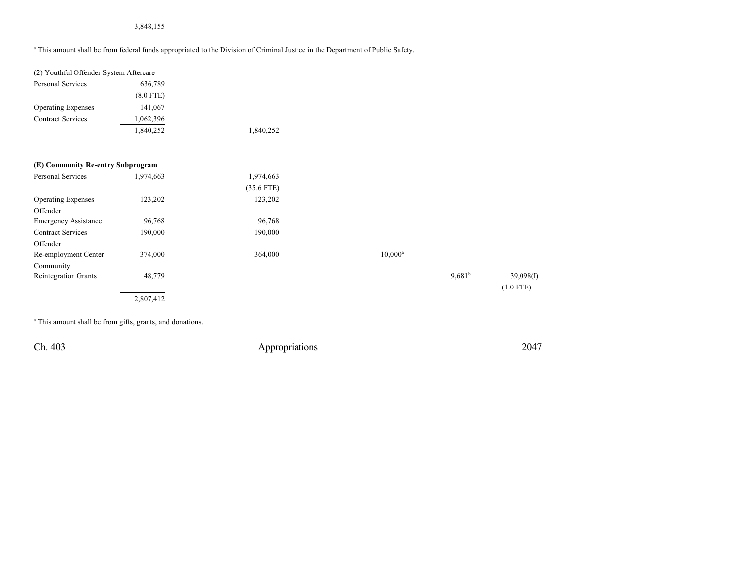## 3,848,155

a This amount shall be from federal funds appropriated to the Division of Criminal Justice in the Department of Public Safety.

| (2) Youthful Offender System Aftercare |             |              |            |                    |             |
|----------------------------------------|-------------|--------------|------------|--------------------|-------------|
| Personal Services                      | 636,789     |              |            |                    |             |
|                                        | $(8.0$ FTE) |              |            |                    |             |
| <b>Operating Expenses</b>              | 141,067     |              |            |                    |             |
| <b>Contract Services</b>               | 1,062,396   |              |            |                    |             |
|                                        | 1,840,252   | 1,840,252    |            |                    |             |
| (E) Community Re-entry Subprogram      |             |              |            |                    |             |
| Personal Services                      | 1,974,663   | 1,974,663    |            |                    |             |
|                                        |             | $(35.6$ FTE) |            |                    |             |
| <b>Operating Expenses</b>              | 123,202     | 123,202      |            |                    |             |
| Offender                               |             |              |            |                    |             |
| <b>Emergency Assistance</b>            | 96,768      | 96,768       |            |                    |             |
| <b>Contract Services</b>               | 190,000     | 190,000      |            |                    |             |
| Offender                               |             |              |            |                    |             |
| Re-employment Center                   | 374,000     | 364,000      | $10,000^a$ |                    |             |
| Community                              |             |              |            |                    |             |
| Reintegration Grants                   | 48,779      |              |            | 9,681 <sup>b</sup> | 39,098(I)   |
|                                        |             |              |            |                    | $(1.0$ FTE) |
|                                        | 2,807,412   |              |            |                    |             |
|                                        |             |              |            |                    |             |

<sup>a</sup> This amount shall be from gifts, grants, and donations.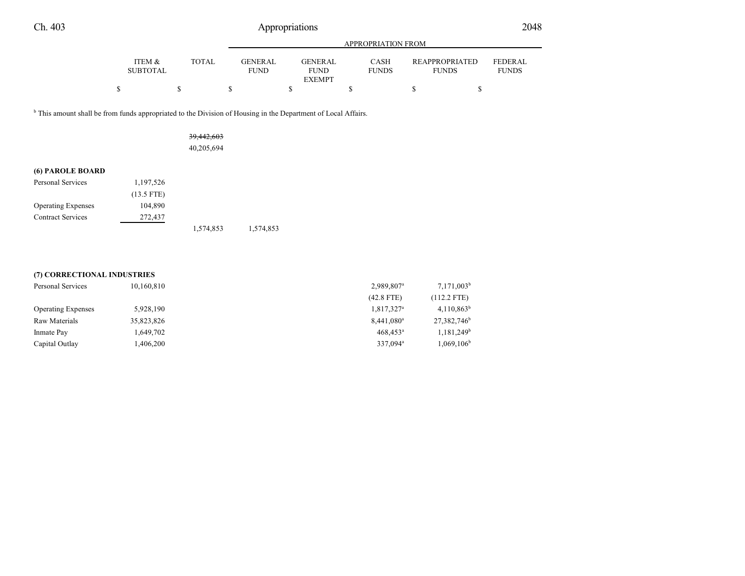|                           |       | APPROPRIATION FROM     |                               |                             |                                       |                         |  |
|---------------------------|-------|------------------------|-------------------------------|-----------------------------|---------------------------------------|-------------------------|--|
| ITEM &<br><b>SUBTOTAL</b> | TOTAL | GENERAL<br><b>FUND</b> | <b>GENERAL</b><br><b>FUND</b> | <b>CASH</b><br><b>FUNDS</b> | <b>REAPPROPRIATED</b><br><b>FUNDS</b> | FEDERAL<br><b>FUNDS</b> |  |
|                           |       |                        | <b>EXEMPT</b>                 |                             |                                       |                         |  |

<sup>b</sup> This amount shall be from funds appropriated to the Division of Housing in the Department of Local Affairs.

| <del>39,442,603</del> |
|-----------------------|
| 40,205,694            |

## **(6) PAROLE BOARD**

| <b>Personal Services</b>  | 1,197,526    |           |           |
|---------------------------|--------------|-----------|-----------|
|                           | $(13.5$ FTE) |           |           |
| <b>Operating Expenses</b> | 104,890      |           |           |
| <b>Contract Services</b>  | 272,437      |           |           |
|                           |              | 1,574,853 | 1,574,853 |

#### **(7) CORRECTIONAL INDUSTRIES**

| Personal Services         | 10,160,810 | 2,989,807 <sup>a</sup> | $7,171,003^b$            |
|---------------------------|------------|------------------------|--------------------------|
|                           |            | $(42.8$ FTE)           | $(112.2$ FTE)            |
| <b>Operating Expenses</b> | 5,928,190  | 1,817,327 <sup>a</sup> | $4,110,863^b$            |
| Raw Materials             | 35,823,826 | $8,441,080^a$          | 27,382,746 <sup>b</sup>  |
| Inmate Pay                | 1.649.702  | $468.453$ <sup>a</sup> | $1,181,249$ <sup>b</sup> |
| Capital Outlay            | .406,200   | 337.094 <sup>a</sup>   | $1,069,106^{\rm b}$      |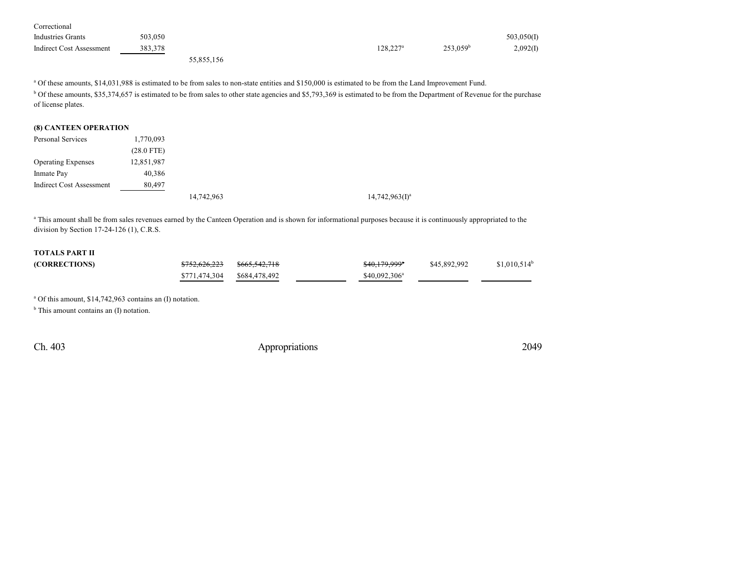| Correctional                    |         |            |                   |                      |            |
|---------------------------------|---------|------------|-------------------|----------------------|------------|
| <b>Industries Grants</b>        | 503,050 |            |                   |                      | 503,050(I) |
| <b>Indirect Cost Assessment</b> | 383,378 |            | $128,227^{\rm a}$ | 253.059 <sup>b</sup> | 2,092(I)   |
|                                 |         | 55,855,156 |                   |                      |            |

<sup>a</sup> Of these amounts, \$14,031,988 is estimated to be from sales to non-state entities and \$150,000 is estimated to be from the Land Improvement Fund.

<sup>b</sup> Of these amounts, \$35,374,657 is estimated to be from sales to other state agencies and \$5,793,369 is estimated to be from the Department of Revenue for the purchase of license plates.

#### **(8) CANTEEN OPERATION**

| Personal Services               | 1,770,093    |            |                   |
|---------------------------------|--------------|------------|-------------------|
|                                 | $(28.0$ FTE) |            |                   |
| <b>Operating Expenses</b>       | 12,851,987   |            |                   |
| Inmate Pay                      | 40,386       |            |                   |
| <b>Indirect Cost Assessment</b> | 80,497       |            |                   |
|                                 |              | 14,742,963 | $14,742,963(1)^a$ |

<sup>a</sup> This amount shall be from sales revenues earned by the Canteen Operation and is shown for informational purposes because it is continuously appropriated to the division by Section 17-24-126 (1), C.R.S.

# **TOTALS PART II**

| (CORRECTIONS) | <del>\$752,626,223</del> | <del>\$665,542,718</del> | \$40,179,999 <sup>*</sup> | \$45,892,992 | $$1,010,514^b$ |
|---------------|--------------------------|--------------------------|---------------------------|--------------|----------------|
|               | \$771.474.304            | \$684.478.492            | $$40,092,306^a$           |              |                |

a Of this amount, \$14,742,963 contains an (I) notation.

<sup>b</sup> This amount contains an (I) notation.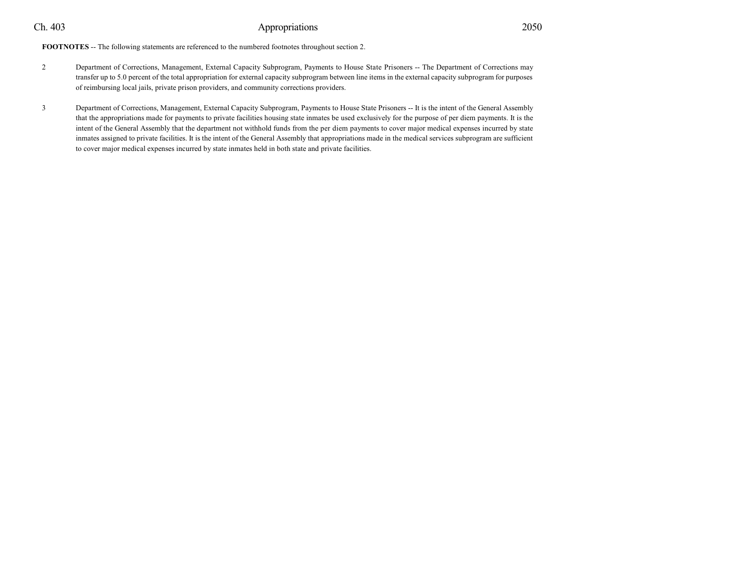**FOOTNOTES** -- The following statements are referenced to the numbered footnotes throughout section 2.

- 2 Department of Corrections, Management, External Capacity Subprogram, Payments to House State Prisoners -- The Department of Corrections may transfer up to 5.0 percent of the total appropriation for external capacity subprogram between line items in the external capacity subprogram for purposes of reimbursing local jails, private prison providers, and community corrections providers.
- 3 Department of Corrections, Management, External Capacity Subprogram, Payments to House State Prisoners -- It is the intent of the General Assembly that the appropriations made for payments to private facilities housing state inmates be used exclusively for the purpose of per diem payments. It is the intent of the General Assembly that the department not withhold funds from the per diem payments to cover major medical expenses incurred by state inmates assigned to private facilities. It is the intent of the General Assembly that appropriations made in the medical services subprogram are sufficient to cover major medical expenses incurred by state inmates held in both state and private facilities.